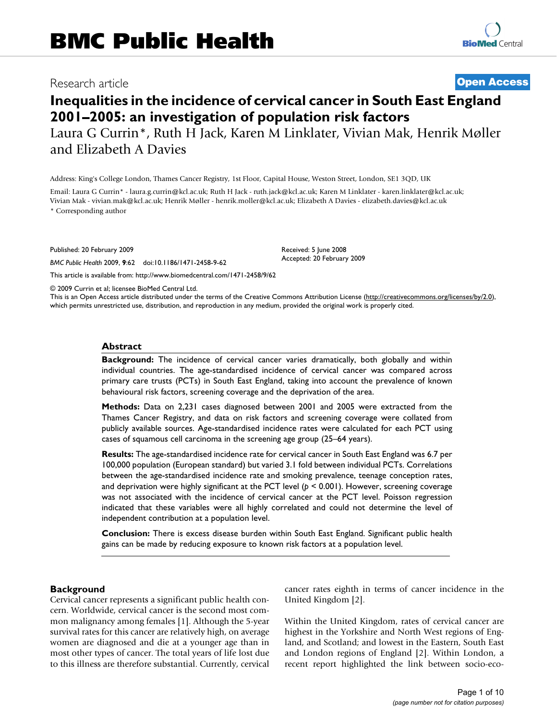# Research article **[Open Access](http://www.biomedcentral.com/info/about/charter/)**

# **Inequalities in the incidence of cervical cancer in South East England 2001–2005: an investigation of population risk factors**

Laura G Currin\*, Ruth H Jack, Karen M Linklater, Vivian Mak, Henrik Møller and Elizabeth A Davies

Address: King's College London, Thames Cancer Registry, 1st Floor, Capital House, Weston Street, London, SE1 3QD, UK

Email: Laura G Currin\* - laura.g.currin@kcl.ac.uk; Ruth H Jack - ruth.jack@kcl.ac.uk; Karen M Linklater - karen.linklater@kcl.ac.uk; Vivian Mak - vivian.mak@kcl.ac.uk; Henrik Møller - henrik.moller@kcl.ac.uk; Elizabeth A Davies - elizabeth.davies@kcl.ac.uk

\* Corresponding author

Published: 20 February 2009

*BMC Public Health* 2009, **9**:62 doi:10.1186/1471-2458-9-62

[This article is available from: http://www.biomedcentral.com/1471-2458/9/62](http://www.biomedcentral.com/1471-2458/9/62)

© 2009 Currin et al; licensee BioMed Central Ltd.

This is an Open Access article distributed under the terms of the Creative Commons Attribution License [\(http://creativecommons.org/licenses/by/2.0\)](http://creativecommons.org/licenses/by/2.0), which permits unrestricted use, distribution, and reproduction in any medium, provided the original work is properly cited.

Received: 5 June 2008 Accepted: 20 February 2009

### **Abstract**

**Background:** The incidence of cervical cancer varies dramatically, both globally and within individual countries. The age-standardised incidence of cervical cancer was compared across primary care trusts (PCTs) in South East England, taking into account the prevalence of known behavioural risk factors, screening coverage and the deprivation of the area.

**Methods:** Data on 2,231 cases diagnosed between 2001 and 2005 were extracted from the Thames Cancer Registry, and data on risk factors and screening coverage were collated from publicly available sources. Age-standardised incidence rates were calculated for each PCT using cases of squamous cell carcinoma in the screening age group (25–64 years).

**Results:** The age-standardised incidence rate for cervical cancer in South East England was 6.7 per 100,000 population (European standard) but varied 3.1 fold between individual PCTs. Correlations between the age-standardised incidence rate and smoking prevalence, teenage conception rates, and deprivation were highly significant at the PCT level (*p* < 0.001). However, screening coverage was not associated with the incidence of cervical cancer at the PCT level. Poisson regression indicated that these variables were all highly correlated and could not determine the level of independent contribution at a population level.

**Conclusion:** There is excess disease burden within South East England. Significant public health gains can be made by reducing exposure to known risk factors at a population level.

### **Background**

Cervical cancer represents a significant public health concern. Worldwide, cervical cancer is the second most common malignancy among females [1]. Although the 5-year survival rates for this cancer are relatively high, on average women are diagnosed and die at a younger age than in most other types of cancer. The total years of life lost due to this illness are therefore substantial. Currently, cervical cancer rates eighth in terms of cancer incidence in the United Kingdom [2].

Within the United Kingdom, rates of cervical cancer are highest in the Yorkshire and North West regions of England, and Scotland; and lowest in the Eastern, South East and London regions of England [2]. Within London, a recent report highlighted the link between socio-eco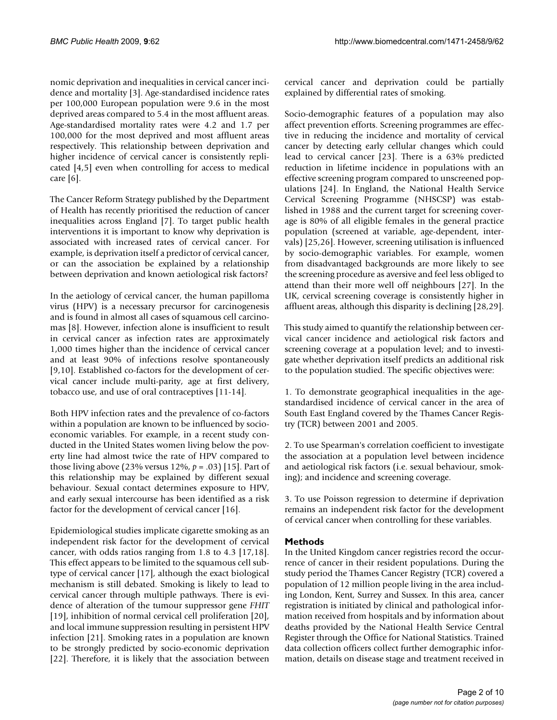nomic deprivation and inequalities in cervical cancer incidence and mortality [3]. Age-standardised incidence rates per 100,000 European population were 9.6 in the most deprived areas compared to 5.4 in the most affluent areas. Age-standardised mortality rates were 4.2 and 1.7 per 100,000 for the most deprived and most affluent areas respectively. This relationship between deprivation and higher incidence of cervical cancer is consistently replicated [4,5] even when controlling for access to medical care [6].

The Cancer Reform Strategy published by the Department of Health has recently prioritised the reduction of cancer inequalities across England [7]. To target public health interventions it is important to know why deprivation is associated with increased rates of cervical cancer. For example, is deprivation itself a predictor of cervical cancer, or can the association be explained by a relationship between deprivation and known aetiological risk factors?

In the aetiology of cervical cancer, the human papilloma virus (HPV) is a necessary precursor for carcinogenesis and is found in almost all cases of squamous cell carcinomas [8]. However, infection alone is insufficient to result in cervical cancer as infection rates are approximately 1,000 times higher than the incidence of cervical cancer and at least 90% of infections resolve spontaneously [9,10]. Established co-factors for the development of cervical cancer include multi-parity, age at first delivery, tobacco use, and use of oral contraceptives [11-14].

Both HPV infection rates and the prevalence of co-factors within a population are known to be influenced by socioeconomic variables. For example, in a recent study conducted in the United States women living below the poverty line had almost twice the rate of HPV compared to those living above (23% versus 12%, *p* = .03) [15]. Part of this relationship may be explained by different sexual behaviour. Sexual contact determines exposure to HPV, and early sexual intercourse has been identified as a risk factor for the development of cervical cancer [16].

Epidemiological studies implicate cigarette smoking as an independent risk factor for the development of cervical cancer, with odds ratios ranging from 1.8 to 4.3 [17,18]. This effect appears to be limited to the squamous cell subtype of cervical cancer [17], although the exact biological mechanism is still debated. Smoking is likely to lead to cervical cancer through multiple pathways. There is evidence of alteration of the tumour suppressor gene *FHIT* [19], inhibition of normal cervical cell proliferation [20], and local immune suppression resulting in persistent HPV infection [21]. Smoking rates in a population are known to be strongly predicted by socio-economic deprivation [22]. Therefore, it is likely that the association between

cervical cancer and deprivation could be partially explained by differential rates of smoking.

Socio-demographic features of a population may also affect prevention efforts. Screening programmes are effective in reducing the incidence and mortality of cervical cancer by detecting early cellular changes which could lead to cervical cancer [23]. There is a 63% predicted reduction in lifetime incidence in populations with an effective screening program compared to unscreened populations [24]. In England, the National Health Service Cervical Screening Programme (NHSCSP) was established in 1988 and the current target for screening coverage is 80% of all eligible females in the general practice population (screened at variable, age-dependent, intervals) [25,26]. However, screening utilisation is influenced by socio-demographic variables. For example, women from disadvantaged backgrounds are more likely to see the screening procedure as aversive and feel less obliged to attend than their more well off neighbours [27]. In the UK, cervical screening coverage is consistently higher in affluent areas, although this disparity is declining [28,29].

This study aimed to quantify the relationship between cervical cancer incidence and aetiological risk factors and screening coverage at a population level; and to investigate whether deprivation itself predicts an additional risk to the population studied. The specific objectives were:

1. To demonstrate geographical inequalities in the agestandardised incidence of cervical cancer in the area of South East England covered by the Thames Cancer Registry (TCR) between 2001 and 2005.

2. To use Spearman's correlation coefficient to investigate the association at a population level between incidence and aetiological risk factors (i.e. sexual behaviour, smoking); and incidence and screening coverage.

3. To use Poisson regression to determine if deprivation remains an independent risk factor for the development of cervical cancer when controlling for these variables.

# **Methods**

In the United Kingdom cancer registries record the occurrence of cancer in their resident populations. During the study period the Thames Cancer Registry (TCR) covered a population of 12 million people living in the area including London, Kent, Surrey and Sussex. In this area, cancer registration is initiated by clinical and pathological information received from hospitals and by information about deaths provided by the National Health Service Central Register through the Office for National Statistics. Trained data collection officers collect further demographic information, details on disease stage and treatment received in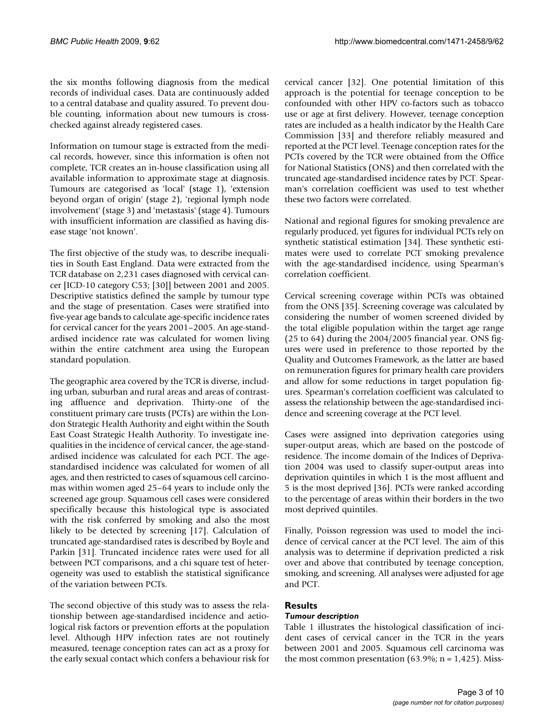the six months following diagnosis from the medical records of individual cases. Data are continuously added to a central database and quality assured. To prevent double counting, information about new tumours is crosschecked against already registered cases.

Information on tumour stage is extracted from the medical records, however, since this information is often not complete, TCR creates an in-house classification using all available information to approximate stage at diagnosis. Tumours are categorised as 'local' (stage 1), 'extension beyond organ of origin' (stage 2), 'regional lymph node involvement' (stage 3) and 'metastasis' (stage 4). Tumours with insufficient information are classified as having disease stage 'not known'.

The first objective of the study was, to describe inequalities in South East England. Data were extracted from the TCR database on 2,231 cases diagnosed with cervical cancer [ICD-10 category C53; [30]] between 2001 and 2005. Descriptive statistics defined the sample by tumour type and the stage of presentation. Cases were stratified into five-year age bands to calculate age-specific incidence rates for cervical cancer for the years 2001–2005. An age-standardised incidence rate was calculated for women living within the entire catchment area using the European standard population.

The geographic area covered by the TCR is diverse, including urban, suburban and rural areas and areas of contrasting affluence and deprivation. Thirty-one of the constituent primary care trusts (PCTs) are within the London Strategic Health Authority and eight within the South East Coast Strategic Health Authority. To investigate inequalities in the incidence of cervical cancer, the age-standardised incidence was calculated for each PCT. The agestandardised incidence was calculated for women of all ages, and then restricted to cases of squamous cell carcinomas within women aged 25–64 years to include only the screened age group. Squamous cell cases were considered specifically because this histological type is associated with the risk conferred by smoking and also the most likely to be detected by screening [17]. Calculation of truncated age-standardised rates is described by Boyle and Parkin [31]. Truncated incidence rates were used for all between PCT comparisons, and a chi square test of heterogeneity was used to establish the statistical significance of the variation between PCTs.

The second objective of this study was to assess the relationship between age-standardised incidence and aetiological risk factors or prevention efforts at the population level. Although HPV infection rates are not routinely measured, teenage conception rates can act as a proxy for the early sexual contact which confers a behaviour risk for

cervical cancer [32]. One potential limitation of this approach is the potential for teenage conception to be confounded with other HPV co-factors such as tobacco use or age at first delivery. However, teenage conception rates are included as a health indicator by the Health Care Commission [33] and therefore reliably measured and reported at the PCT level. Teenage conception rates for the PCTs covered by the TCR were obtained from the Office for National Statistics (ONS) and then correlated with the truncated age-standardised incidence rates by PCT. Spearman's correlation coefficient was used to test whether these two factors were correlated.

National and regional figures for smoking prevalence are regularly produced, yet figures for individual PCTs rely on synthetic statistical estimation [34]. These synthetic estimates were used to correlate PCT smoking prevalence with the age-standardised incidence, using Spearman's correlation coefficient.

Cervical screening coverage within PCTs was obtained from the ONS [35]. Screening coverage was calculated by considering the number of women screened divided by the total eligible population within the target age range (25 to 64) during the 2004/2005 financial year. ONS figures were used in preference to those reported by the Quality and Outcomes Framework, as the latter are based on remuneration figures for primary health care providers and allow for some reductions in target population figures. Spearman's correlation coefficient was calculated to assess the relationship between the age-standardised incidence and screening coverage at the PCT level.

Cases were assigned into deprivation categories using super-output areas, which are based on the postcode of residence. The income domain of the Indices of Deprivation 2004 was used to classify super-output areas into deprivation quintiles in which 1 is the most affluent and 5 is the most deprived [36]. PCTs were ranked according to the percentage of areas within their borders in the two most deprived quintiles.

Finally, Poisson regression was used to model the incidence of cervical cancer at the PCT level. The aim of this analysis was to determine if deprivation predicted a risk over and above that contributed by teenage conception, smoking, and screening. All analyses were adjusted for age and PCT.

# **Results**

# *Tumour description*

Table 1 illustrates the histological classification of incident cases of cervical cancer in the TCR in the years between 2001 and 2005. Squamous cell carcinoma was the most common presentation  $(63.9\%; n = 1.425)$ . Miss-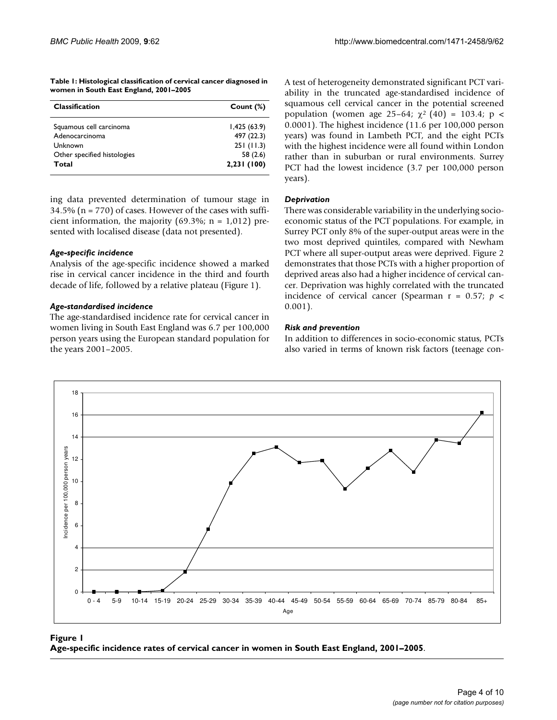**Table 1: Histological classification of cervical cancer diagnosed in women in South East England, 2001–2005**

| <b>Classification</b>       | Count $(\%)$ |
|-----------------------------|--------------|
| Squamous cell carcinoma     | 1,425(63.9)  |
| Adenocarcinoma              | 497 (22.3)   |
| Unknown                     | 251(11.3)    |
| Other specified histologies | 58 (2.6)     |
| Total                       | 2,231 (100)  |

ing data prevented determination of tumour stage in  $34.5\%$  (n = 770) of cases. However of the cases with sufficient information, the majority (69.3%;  $n = 1,012$ ) presented with localised disease (data not presented).

### *Age-specific incidence*

Analysis of the age-specific incidence showed a marked rise in cervical cancer incidence in the third and fourth decade of life, followed by a relative plateau (Figure 1).

### *Age-standardised incidence*

The age-standardised incidence rate for cervical cancer in women living in South East England was 6.7 per 100,000 person years using the European standard population for the years 2001–2005.

A test of heterogeneity demonstrated significant PCT variability in the truncated age-standardised incidence of squamous cell cervical cancer in the potential screened population (women age 25–64;  $χ²$  (40) = 103.4; p < 0.0001). The highest incidence (11.6 per 100,000 person years) was found in Lambeth PCT, and the eight PCTs with the highest incidence were all found within London rather than in suburban or rural environments. Surrey PCT had the lowest incidence (3.7 per 100,000 person years).

### *Deprivation*

There was considerable variability in the underlying socioeconomic status of the PCT populations. For example, in Surrey PCT only 8% of the super-output areas were in the two most deprived quintiles, compared with Newham PCT where all super-output areas were deprived. Figure 2 demonstrates that those PCTs with a higher proportion of deprived areas also had a higher incidence of cervical cancer. Deprivation was highly correlated with the truncated incidence of cervical cancer (Spearman r = 0.57; *p* < 0.001).

### *Risk and prevention*

In addition to differences in socio-economic status, PCTs also varied in terms of known risk factors (teenage con-



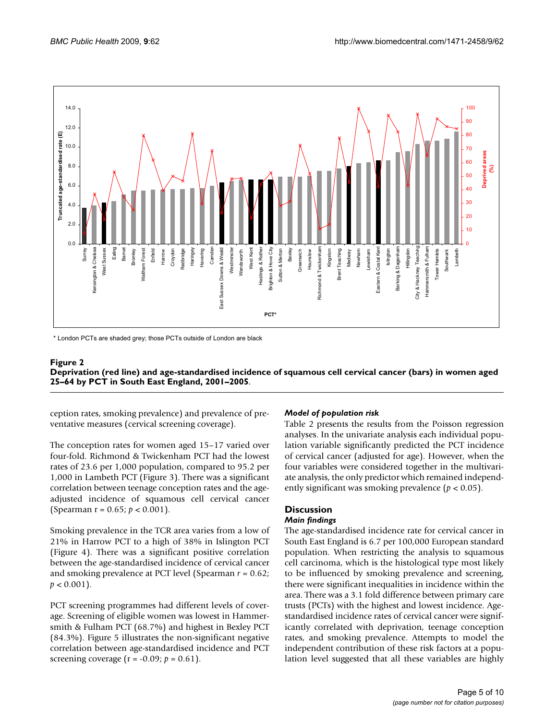

\* London PCTs are shaded grey: those PCTs outside of London are black

### Deprivation (red line) and age-standardised South East England, 2001–2005 **Figure 2** incidence of squamous cell cervical cancer (bars) in women aged 25–64 by PCT in **Deprivation (red line) and age-standardised incidence of squamous cell cervical cancer (bars) in women aged 25–64 by PCT in South East England, 2001–2005**.

ception rates, smoking prevalence) and prevalence of preventative measures (cervical screening coverage).

The conception rates for women aged 15–17 varied over four-fold. Richmond & Twickenham PCT had the lowest rates of 23.6 per 1,000 population, compared to 95.2 per 1,000 in Lambeth PCT (Figure 3). There was a significant correlation between teenage conception rates and the ageadjusted incidence of squamous cell cervical cancer (Spearman r = 0.65; *p* < 0.001).

Smoking prevalence in the TCR area varies from a low of 21% in Harrow PCT to a high of 38% in Islington PCT (Figure 4). There was a significant positive correlation between the age-standardised incidence of cervical cancer and smoking prevalence at PCT level (Spearman *r* = 0.62;  $p < 0.001$ ).

PCT screening programmes had different levels of coverage. Screening of eligible women was lowest in Hammersmith & Fulham PCT (68.7%) and highest in Bexley PCT (84.3%). Figure 5 illustrates the non-significant negative correlation between age-standardised incidence and PCT screening coverage ( $r = -0.09$ ;  $p = 0.61$ ).

# *Model of population risk*

Table 2 presents the results from the Poisson regression analyses. In the univariate analysis each individual population variable significantly predicted the PCT incidence of cervical cancer (adjusted for age). However, when the four variables were considered together in the multivariate analysis, the only predictor which remained independently significant was smoking prevalence (*p* < 0.05).

# **Discussion**

# *Main findings*

The age-standardised incidence rate for cervical cancer in South East England is 6.7 per 100,000 European standard population. When restricting the analysis to squamous cell carcinoma, which is the histological type most likely to be influenced by smoking prevalence and screening, there were significant inequalities in incidence within the area. There was a 3.1 fold difference between primary care trusts (PCTs) with the highest and lowest incidence. Agestandardised incidence rates of cervical cancer were significantly correlated with deprivation, teenage conception rates, and smoking prevalence. Attempts to model the independent contribution of these risk factors at a population level suggested that all these variables are highly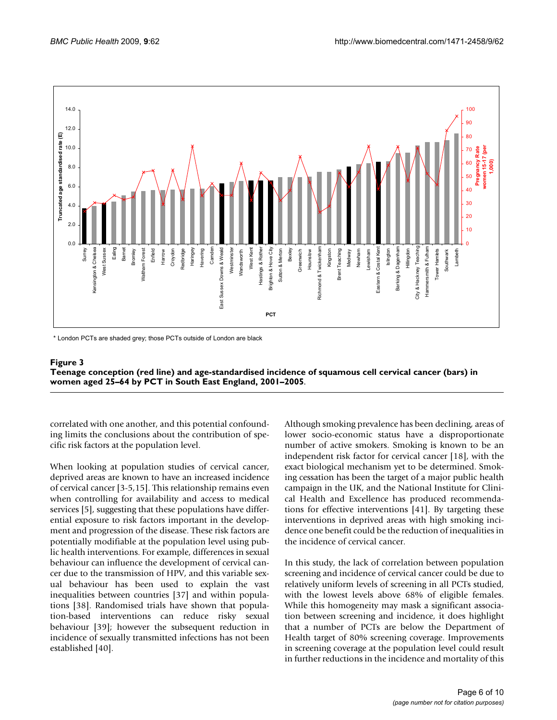

\* London PCTs are shaded grey: those PCTs outside of London are black

### Teenage conception (red line) and age-stand PCT in South East England, 2001–2005 **Figure 3** ardised incidence of squamous cell cervical cancer (bars) in women aged 25–64 by **Teenage conception (red line) and age-standardised incidence of squamous cell cervical cancer (bars) in women aged 25–64 by PCT in South East England, 2001–2005**.

correlated with one another, and this potential confounding limits the conclusions about the contribution of specific risk factors at the population level.

When looking at population studies of cervical cancer, deprived areas are known to have an increased incidence of cervical cancer [3-5,15]. This relationship remains even when controlling for availability and access to medical services [5], suggesting that these populations have differential exposure to risk factors important in the development and progression of the disease. These risk factors are potentially modifiable at the population level using public health interventions. For example, differences in sexual behaviour can influence the development of cervical cancer due to the transmission of HPV, and this variable sexual behaviour has been used to explain the vast inequalities between countries [37] and within populations [38]. Randomised trials have shown that population-based interventions can reduce risky sexual behaviour [39]; however the subsequent reduction in incidence of sexually transmitted infections has not been established [40].

Although smoking prevalence has been declining, areas of lower socio-economic status have a disproportionate number of active smokers. Smoking is known to be an independent risk factor for cervical cancer [18], with the exact biological mechanism yet to be determined. Smoking cessation has been the target of a major public health campaign in the UK, and the National Institute for Clinical Health and Excellence has produced recommendations for effective interventions [41]. By targeting these interventions in deprived areas with high smoking incidence one benefit could be the reduction of inequalities in the incidence of cervical cancer.

In this study, the lack of correlation between population screening and incidence of cervical cancer could be due to relatively uniform levels of screening in all PCTs studied, with the lowest levels above 68% of eligible females. While this homogeneity may mask a significant association between screening and incidence, it does highlight that a number of PCTs are below the Department of Health target of 80% screening coverage. Improvements in screening coverage at the population level could result in further reductions in the incidence and mortality of this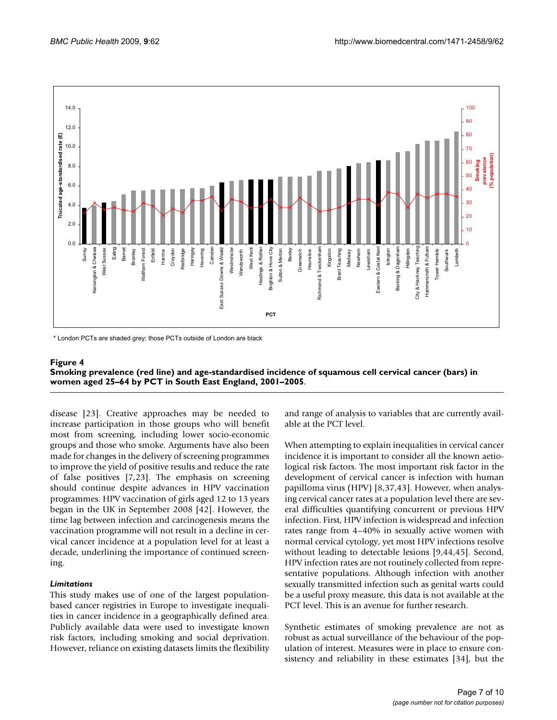

\* London PCTs are shaded grey: those PCTs outside of London are black

### Smoking prevalence (red line) and age-stand PCT in South East England, 2001–2005 **Figure 4** ardised incidence of squamous cell cervical cancer (bars) in women aged 25–64 by **Smoking prevalence (red line) and age-standardised incidence of squamous cell cervical cancer (bars) in women aged 25–64 by PCT in South East England, 2001–2005**.

disease [23]. Creative approaches may be needed to increase participation in those groups who will benefit most from screening, including lower socio-economic groups and those who smoke. Arguments have also been made for changes in the delivery of screening programmes to improve the yield of positive results and reduce the rate of false positives [7,23]. The emphasis on screening should continue despite advances in HPV vaccination programmes. HPV vaccination of girls aged 12 to 13 years began in the UK in September 2008 [42]. However, the time lag between infection and carcinogenesis means the vaccination programme will not result in a decline in cervical cancer incidence at a population level for at least a decade, underlining the importance of continued screening.

# *Limitations*

This study makes use of one of the largest populationbased cancer registries in Europe to investigate inequalities in cancer incidence in a geographically defined area. Publicly available data were used to investigate known risk factors, including smoking and social deprivation. However, reliance on existing datasets limits the flexibility and range of analysis to variables that are currently available at the PCT level.

When attempting to explain inequalities in cervical cancer incidence it is important to consider all the known aetiological risk factors. The most important risk factor in the development of cervical cancer is infection with human papilloma virus (HPV) [8,37,43]. However, when analysing cervical cancer rates at a population level there are several difficulties quantifying concurrent or previous HPV infection. First, HPV infection is widespread and infection rates range from 4–40% in sexually active women with normal cervical cytology, yet most HPV infections resolve without leading to detectable lesions [9,44,45]. Second, HPV infection rates are not routinely collected from representative populations. Although infection with another sexually transmitted infection such as genital warts could be a useful proxy measure, this data is not available at the PCT level. This is an avenue for further research.

Synthetic estimates of smoking prevalence are not as robust as actual surveillance of the behaviour of the population of interest. Measures were in place to ensure consistency and reliability in these estimates [34], but the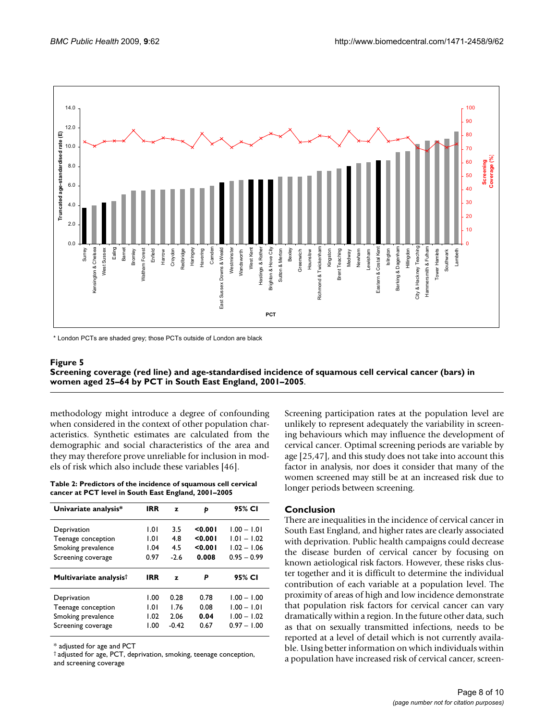

\* London PCTs are shaded grey: those PCTs outside of London are black

### Screening coverage (red line) and age-stand PCT in South East England, 2001–2005 **Figure 5** ardised incidence of squamous cell cervical cancer (bars) in women aged 25–64 by **Screening coverage (red line) and age-standardised incidence of squamous cell cervical cancer (bars) in women aged 25–64 by PCT in South East England, 2001–2005**.

methodology might introduce a degree of confounding when considered in the context of other population characteristics. Synthetic estimates are calculated from the demographic and social characteristics of the area and they may therefore prove unreliable for inclusion in models of risk which also include these variables [46].

**Table 2: Predictors of the incidence of squamous cell cervical cancer at PCT level in South East England, 2001–2005**

| Univariate analysis*               | <b>IRR</b> | z            | Þ       | 95% CI        |
|------------------------------------|------------|--------------|---------|---------------|
| Deprivation                        | 1.01       | 3.5          | 0.001   | $1.00 - 1.01$ |
| Teenage conception                 | 1.01       | 4.8          | 0.001   | $1.01 - 1.02$ |
| Smoking prevalence                 | 1.04       | 4.5          | < 0.001 | $1.02 - 1.06$ |
| Screening coverage                 | 0.97       | $-2.6$       | 0.008   | $0.95 - 0.99$ |
|                                    |            |              |         |               |
| Multivariate analysis <sup>†</sup> | <b>IRR</b> | $\mathbf{z}$ | Р       | 95% CI        |
| Deprivation                        | 1.00       | 0.28         | 0.78    | $1.00 - 1.00$ |
| Teenage conception                 | 1.01       | 1.76         | 0.08    | $1.00 - 1.01$ |
| Smoking prevalence                 | 1.02       | 2.06         | 0.04    | $1.00 - 1.02$ |

\* adjusted for age and PCT

† adjusted for age, PCT, deprivation, smoking, teenage conception, and screening coverage

Screening participation rates at the population level are unlikely to represent adequately the variability in screening behaviours which may influence the development of cervical cancer. Optimal screening periods are variable by age [25,47], and this study does not take into account this factor in analysis, nor does it consider that many of the women screened may still be at an increased risk due to longer periods between screening.

# **Conclusion**

There are inequalities in the incidence of cervical cancer in South East England, and higher rates are clearly associated with deprivation. Public health campaigns could decrease the disease burden of cervical cancer by focusing on known aetiological risk factors. However, these risks cluster together and it is difficult to determine the individual contribution of each variable at a population level. The proximity of areas of high and low incidence demonstrate that population risk factors for cervical cancer can vary dramatically within a region. In the future other data, such as that on sexually transmitted infections, needs to be reported at a level of detail which is not currently available. Using better information on which individuals within a population have increased risk of cervical cancer, screen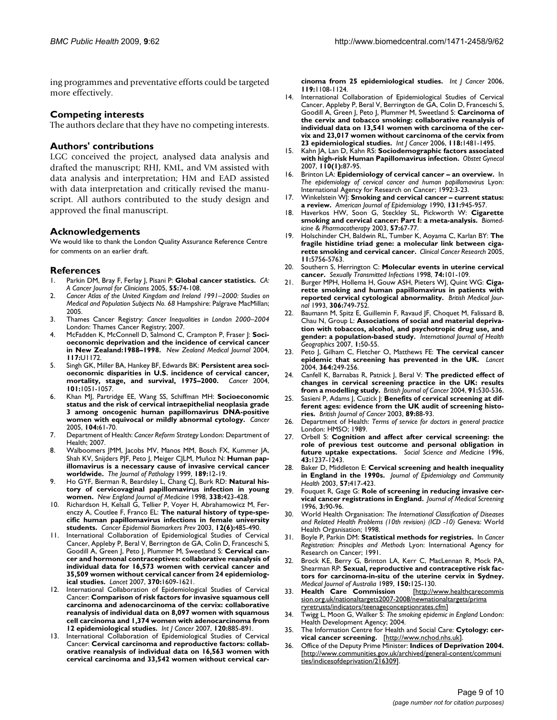ing programmes and preventative efforts could be targeted more effectively.

### **Competing interests**

The authors declare that they have no competing interests.

### **Authors' contributions**

LGC conceived the project, analysed data analysis and drafted the manuscript; RHJ, KML, and VM assisted with data analysis and interpretation; HM and EAD assisted with data interpretation and critically revised the manuscript. All authors contributed to the study design and approved the final manuscript.

### **Acknowledgements**

We would like to thank the London Quality Assurance Reference Centre for comments on an earlier draft.

#### **References**

- 1. Parkin DM, Bray F, Ferlay J, Pisani P: **[Global cancer statistics.](http://www.ncbi.nlm.nih.gov/entrez/query.fcgi?cmd=Retrieve&db=PubMed&dopt=Abstract&list_uids=15761078)** *CA: A Cancer Journal for Clinicians* 2005, **55:**74-108.
- 2. *Cancer Atlas of the United Kingdom and Ireland 1991–2000: Studies on Medical and Population Subjects No. 68* Hampshire: Palgrave MacMillan; 2005.
- 3. Thames Cancer Registry: *Cancer Inequalities in London 2000–2004* London: Thames Cancer Registry; 2007.
- 4. McFadden K, McConnell D, Salmond C, Crampton P, Fraser J: **[Soci](http://www.ncbi.nlm.nih.gov/entrez/query.fcgi?cmd=Retrieve&db=PubMed&dopt=Abstract&list_uids=15570341)[oeconomic deprivation and the incidence of cervical cancer](http://www.ncbi.nlm.nih.gov/entrez/query.fcgi?cmd=Retrieve&db=PubMed&dopt=Abstract&list_uids=15570341) [in New Zealand:1988–1998.](http://www.ncbi.nlm.nih.gov/entrez/query.fcgi?cmd=Retrieve&db=PubMed&dopt=Abstract&list_uids=15570341)** *New Zealand Medical Journal* 2004, **117:**U1172.
- 5. Singh GK, Miller BA, Hankey BF, Edwards BK: **[Persistent area soci](http://www.ncbi.nlm.nih.gov/entrez/query.fcgi?cmd=Retrieve&db=PubMed&dopt=Abstract&list_uids=15329915)[oeconomic disparities in U.S. incidence of cervical cancer,](http://www.ncbi.nlm.nih.gov/entrez/query.fcgi?cmd=Retrieve&db=PubMed&dopt=Abstract&list_uids=15329915) [mortality, stage, and survival, 1975–2000.](http://www.ncbi.nlm.nih.gov/entrez/query.fcgi?cmd=Retrieve&db=PubMed&dopt=Abstract&list_uids=15329915)** *Cancer* 2004, **101:**1051-1057.
- 6. Khan MJ, Partridge EE, Wang SS, Schiffman MH: **[Socioeconomic](http://www.ncbi.nlm.nih.gov/entrez/query.fcgi?cmd=Retrieve&db=PubMed&dopt=Abstract&list_uids=15889450) [status and the risk of cervical intraepithelial neoplasia grade](http://www.ncbi.nlm.nih.gov/entrez/query.fcgi?cmd=Retrieve&db=PubMed&dopt=Abstract&list_uids=15889450) 3 among oncogenic human papillomavirus DNA-positive [women with equivocal or mildly abnormal cytology.](http://www.ncbi.nlm.nih.gov/entrez/query.fcgi?cmd=Retrieve&db=PubMed&dopt=Abstract&list_uids=15889450)** *Cancer* 2005, **104:**61-70.
- 7. Department of Health: *Cancer Reform Strategy* London: Department of Health; 2007.
- 8. Walboomers JMM, Jacobs MV, Manos MM, Bosch FX, Kummer JA, Shah KV, Snijders PJF, Peto J, Meiger CJLM, Muñoz N: **[Human pap](http://www.ncbi.nlm.nih.gov/entrez/query.fcgi?cmd=Retrieve&db=PubMed&dopt=Abstract&list_uids=10451482)[illomavirus is a necessary cause of invasive cervical cancer](http://www.ncbi.nlm.nih.gov/entrez/query.fcgi?cmd=Retrieve&db=PubMed&dopt=Abstract&list_uids=10451482) [worldwide.](http://www.ncbi.nlm.nih.gov/entrez/query.fcgi?cmd=Retrieve&db=PubMed&dopt=Abstract&list_uids=10451482)** *The Journal of Pathology* 1999, **189:**12-19.
- 9. Ho GYF, Bierman R, Beardsley L, Chang CJ, Burk RD: **[Natural his](http://www.ncbi.nlm.nih.gov/entrez/query.fcgi?cmd=Retrieve&db=PubMed&dopt=Abstract&list_uids=9459645)[tory of cervicovaginal papillomavirus infection in young](http://www.ncbi.nlm.nih.gov/entrez/query.fcgi?cmd=Retrieve&db=PubMed&dopt=Abstract&list_uids=9459645) [women.](http://www.ncbi.nlm.nih.gov/entrez/query.fcgi?cmd=Retrieve&db=PubMed&dopt=Abstract&list_uids=9459645)** *New England Journal of Medicine* 1998, **338:**423-428.
- 10. Richardson H, Kelsall G, Tellier P, Voyer H, Abrahamowicz M, Ferenczy A, Coutlee F, Franco EL: **[The natural history of type-spe](http://www.ncbi.nlm.nih.gov/entrez/query.fcgi?cmd=Retrieve&db=PubMed&dopt=Abstract&list_uids=12814991)[cific human papillomavirus infections in female university](http://www.ncbi.nlm.nih.gov/entrez/query.fcgi?cmd=Retrieve&db=PubMed&dopt=Abstract&list_uids=12814991) [students.](http://www.ncbi.nlm.nih.gov/entrez/query.fcgi?cmd=Retrieve&db=PubMed&dopt=Abstract&list_uids=12814991)** *Cancer Epidemiol Biomarkers Prev* 2003, **12(6):**485-490.
- 11. International Collaboration of Epidemiological Studies of Cervical Cancer, Appleby P, Beral V, Berrington de GA, Colin D, Franceschi S, Goodill A, Green J, Peto J, Plummer M, Sweetland S: **[Cervical can](http://www.ncbi.nlm.nih.gov/entrez/query.fcgi?cmd=Retrieve&db=PubMed&dopt=Abstract&list_uids=17993361)[cer and hormonal contraceptives: collaborative reanalysis of](http://www.ncbi.nlm.nih.gov/entrez/query.fcgi?cmd=Retrieve&db=PubMed&dopt=Abstract&list_uids=17993361) individual data for 16,573 women with cervical cancer and 35,509 women without cervical cancer from 24 epidemiolog[ical studies.](http://www.ncbi.nlm.nih.gov/entrez/query.fcgi?cmd=Retrieve&db=PubMed&dopt=Abstract&list_uids=17993361)** *Lancet* 2007, **370:**1609-1621.
- 12. International Collaboration of Epidemiological Studies of Cervical Cancer: **[Comparison of risk factors for invasive squamous cell](http://www.ncbi.nlm.nih.gov/entrez/query.fcgi?cmd=Retrieve&db=PubMed&dopt=Abstract&list_uids=17131323) [carcinoma and adenocarcinoma of the cervix: collaborative](http://www.ncbi.nlm.nih.gov/entrez/query.fcgi?cmd=Retrieve&db=PubMed&dopt=Abstract&list_uids=17131323) reanalysis of individual data on 8,097 women with squamous cell carcinoma and 1,374 women with adenocarcinoma from [12 epidemiological studies.](http://www.ncbi.nlm.nih.gov/entrez/query.fcgi?cmd=Retrieve&db=PubMed&dopt=Abstract&list_uids=17131323)** *Int J Cancer* 2007, **120:**885-891.
- 13. International Collaboration of Epidemiological Studies of Cervical Cancer: **[Cervical carcinoma and reproductive factors: collab](http://www.ncbi.nlm.nih.gov/entrez/query.fcgi?cmd=Retrieve&db=PubMed&dopt=Abstract&list_uids=16570271)orative reanalysis of individual data on 16,563 women with [cervical carcinoma and 33,542 women without cervical car-](http://www.ncbi.nlm.nih.gov/entrez/query.fcgi?cmd=Retrieve&db=PubMed&dopt=Abstract&list_uids=16570271)**

**[cinoma from 25 epidemiological studies.](http://www.ncbi.nlm.nih.gov/entrez/query.fcgi?cmd=Retrieve&db=PubMed&dopt=Abstract&list_uids=16570271)** *Int J Cancer* 2006, **119:**1108-1124.

- 14. International Collaboration of Epidemiological Studies of Cervical Cancer, Appleby P, Beral V, Berrington de GA, Colin D, Franceschi S, Goodill A, Green J, Peto J, Plummer M, Sweetland S: **[Carcinoma of](http://www.ncbi.nlm.nih.gov/entrez/query.fcgi?cmd=Retrieve&db=PubMed&dopt=Abstract&list_uids=16206285) the cervix and tobacco smoking: collaborative reanalysis of [individual data on 13,541 women with carcinoma of the cer](http://www.ncbi.nlm.nih.gov/entrez/query.fcgi?cmd=Retrieve&db=PubMed&dopt=Abstract&list_uids=16206285)vix and 23,017 women without carcinoma of the cervix from [23 epidemiological studies.](http://www.ncbi.nlm.nih.gov/entrez/query.fcgi?cmd=Retrieve&db=PubMed&dopt=Abstract&list_uids=16206285)** *Int J Cancer* 2006, **118:**1481-1495.
- 15. Kahn JA, Lan D, Kahn RS: **[Sociodemographic factors associated](http://www.ncbi.nlm.nih.gov/entrez/query.fcgi?cmd=Retrieve&db=PubMed&dopt=Abstract&list_uids=17601901) [with high-risk Human Papillomavirus infection.](http://www.ncbi.nlm.nih.gov/entrez/query.fcgi?cmd=Retrieve&db=PubMed&dopt=Abstract&list_uids=17601901)** *Obstet Gynecol* 2007, **110(1):**87-95.
- 16. Brinton LA: **Epidemiology of cervical cancer an overview.** In *The epidemiology of cervical cancer and human papillomavirus* Lyon: International Agency for Research on Cancer; 1992:3-23.
- 17. Winkelstein WJ: **[Smoking and cervical cancer current status:](http://www.ncbi.nlm.nih.gov/entrez/query.fcgi?cmd=Retrieve&db=PubMed&dopt=Abstract&list_uids=2188500) [a review.](http://www.ncbi.nlm.nih.gov/entrez/query.fcgi?cmd=Retrieve&db=PubMed&dopt=Abstract&list_uids=2188500)** *American Journal of Epidemiology* 1990, **131:**945-957.
- 18. Haverkos HW, Soon G, Steckley SL, Pickworth W: **Cigarette smoking and cervical cancer: Part I: a meta-analysis.** *Biomedicine & Pharmacotherapy* 2003, **57:**67-77.
- 19. Holschinder CH, Baldwin RL, Tumber K, Aoyama C, Karlan BY: **[The](http://www.ncbi.nlm.nih.gov/entrez/query.fcgi?cmd=Retrieve&db=PubMed&dopt=Abstract&list_uids=16115913) [fragile histidine triad gene: a molecular link between ciga](http://www.ncbi.nlm.nih.gov/entrez/query.fcgi?cmd=Retrieve&db=PubMed&dopt=Abstract&list_uids=16115913)[rette smoking and cervical cancer.](http://www.ncbi.nlm.nih.gov/entrez/query.fcgi?cmd=Retrieve&db=PubMed&dopt=Abstract&list_uids=16115913)** *Clinical Cancer Research* 2005, **11:**5756-5763.
- 20. Southern S, Herrington C: **[Molecular events in uterine cervical](http://www.ncbi.nlm.nih.gov/entrez/query.fcgi?cmd=Retrieve&db=PubMed&dopt=Abstract&list_uids=9634321) [cancer.](http://www.ncbi.nlm.nih.gov/entrez/query.fcgi?cmd=Retrieve&db=PubMed&dopt=Abstract&list_uids=9634321)** *Sexually Transmitted Infections* 1998, **74:**101-109.
- 21. Burger MPH, Hollema H, Gouw ASH, Pieters WJ, Quint WG: **[Ciga](http://www.ncbi.nlm.nih.gov/entrez/query.fcgi?cmd=Retrieve&db=PubMed&dopt=Abstract&list_uids=8387842)[rette smoking and human papillomavirus in patients with](http://www.ncbi.nlm.nih.gov/entrez/query.fcgi?cmd=Retrieve&db=PubMed&dopt=Abstract&list_uids=8387842) [reported cervical cytological abnormality.](http://www.ncbi.nlm.nih.gov/entrez/query.fcgi?cmd=Retrieve&db=PubMed&dopt=Abstract&list_uids=8387842)** *British Medical Journal* 1993, **306:**749-752.
- Baumann M, Spitz E, Guillemin F, Ravaud JF, Choquet M, Falissard B, Chau N, Group L: **Associations of social and material deprivation with tobaccos, alcohol, and psychotropic drug use, and gender: a population-based study.** *International Journal of Health Geographics* 2007, **1:**50-55.
- 23. Peto J, Gilham C, Fletcher O, Matthews FE: **[The cervical cancer](http://www.ncbi.nlm.nih.gov/entrez/query.fcgi?cmd=Retrieve&db=PubMed&dopt=Abstract&list_uids=15262102) [epidemic that screening has prevented in the UK.](http://www.ncbi.nlm.nih.gov/entrez/query.fcgi?cmd=Retrieve&db=PubMed&dopt=Abstract&list_uids=15262102)** *Lancet* 2004, **364:**249-256.
- 24. Canfell K, Barnabas R, Patnick J, Beral V: **[The predicted effect of](http://www.ncbi.nlm.nih.gov/entrez/query.fcgi?cmd=Retrieve&db=PubMed&dopt=Abstract&list_uids=15266332) [changes in cervical screening practice in the UK: results](http://www.ncbi.nlm.nih.gov/entrez/query.fcgi?cmd=Retrieve&db=PubMed&dopt=Abstract&list_uids=15266332) [from a modelling study.](http://www.ncbi.nlm.nih.gov/entrez/query.fcgi?cmd=Retrieve&db=PubMed&dopt=Abstract&list_uids=15266332)** *British Journal of Cancer* 2004, **91:**530-536.
- 25. Sasieni P, Adams J, Cuzick J: **[Benefits of cervical screening at dif](http://www.ncbi.nlm.nih.gov/entrez/query.fcgi?cmd=Retrieve&db=PubMed&dopt=Abstract&list_uids=12838306)[ferent ages: evidence from the UK audit of screening histo](http://www.ncbi.nlm.nih.gov/entrez/query.fcgi?cmd=Retrieve&db=PubMed&dopt=Abstract&list_uids=12838306)[ries.](http://www.ncbi.nlm.nih.gov/entrez/query.fcgi?cmd=Retrieve&db=PubMed&dopt=Abstract&list_uids=12838306)** *British Journal of Cancer* 2003, **89:**88-93.
- 26. Department of Health: *Terms of service for doctors in general practice* London: HMSO; 1989.
- 27. Orbell S: **Cognition and affect after cervical screening: the role of previous test outcome and personal obligation in future uptake expectations.** *Social Science and Medicine* 1996, **43:**1237-1243.
- 28. Baker D, Middleton E: **Cervical screening and health inequality in England in the 1990s.** *Journal of Epidemiology and Community Health* 2003, **57:**417-423.
- 29. Fouquet R, Gage G: **[Role of screening in reducing invasive cer](http://www.ncbi.nlm.nih.gov/entrez/query.fcgi?cmd=Retrieve&db=PubMed&dopt=Abstract&list_uids=8849768)[vical cancer registrations in England.](http://www.ncbi.nlm.nih.gov/entrez/query.fcgi?cmd=Retrieve&db=PubMed&dopt=Abstract&list_uids=8849768)** *Journal of Medical Screening* 1996, **3:**90-96.
- 30. World Health Organisation: *The International Classification of Diseases and Related Health Problems (10th revision) (ICD -10)* Geneva: World Health Organisation; 1998.
- 31. Boyle P, Parkin DM: **Statistical methods for registries.** In *Cancer Registration: Principles and Methods* Lyon: International Agency for Research on Cancer; 1991.
- 32. Brock KE, Berry G, Brinton LA, Kerr C, MacLennan R, Mock PA, Shearman RP: **[Sexual, reproductive and contraceptive risk fac](http://www.ncbi.nlm.nih.gov/entrez/query.fcgi?cmd=Retrieve&db=PubMed&dopt=Abstract&list_uids=2716580)[tors for carcinoma-in-situ of the uterine cervix in Sydney.](http://www.ncbi.nlm.nih.gov/entrez/query.fcgi?cmd=Retrieve&db=PubMed&dopt=Abstract&list_uids=2716580)**
- *Medical Journal of Australia* 1989, **150:**125-130. 33. **Health Care Commission** [sion.org.uk/nationaltargets2007-2008/newnationaltargets/prima](http://www.healthcarecommission.org.uk/nationaltargets2007-2008/newnationaltargets/primarycaretrusts/indicators/teenageconceptionrates.cfm) [ryretrusts/indicators/teenageconceptionrates.cfm](http://www.healthcarecommission.org.uk/nationaltargets2007-2008/newnationaltargets/primarycaretrusts/indicators/teenageconceptionrates.cfm)]
- 34. Twigg L, Moon G, Walker S: *The smoking epidemic in England* London: Health Development Agency; 2004.
- 35. The Information Centre for Health and Social Care: **Cytology: cervical cancer screening.** [\[http://www.nchod.nhs.uk](http://www.nchod.nhs.uk)].
- 36. Office of the Deputy Prime Minister: **Indices of Deprivation 2004.** [[http://www.communities.gov.uk/archived/general-content/communi](http://www.communities.gov.uk/archived/general-content/communities/indicesofdeprivation/216309) [ties/indicesofdeprivation/216309\]](http://www.communities.gov.uk/archived/general-content/communities/indicesofdeprivation/216309).